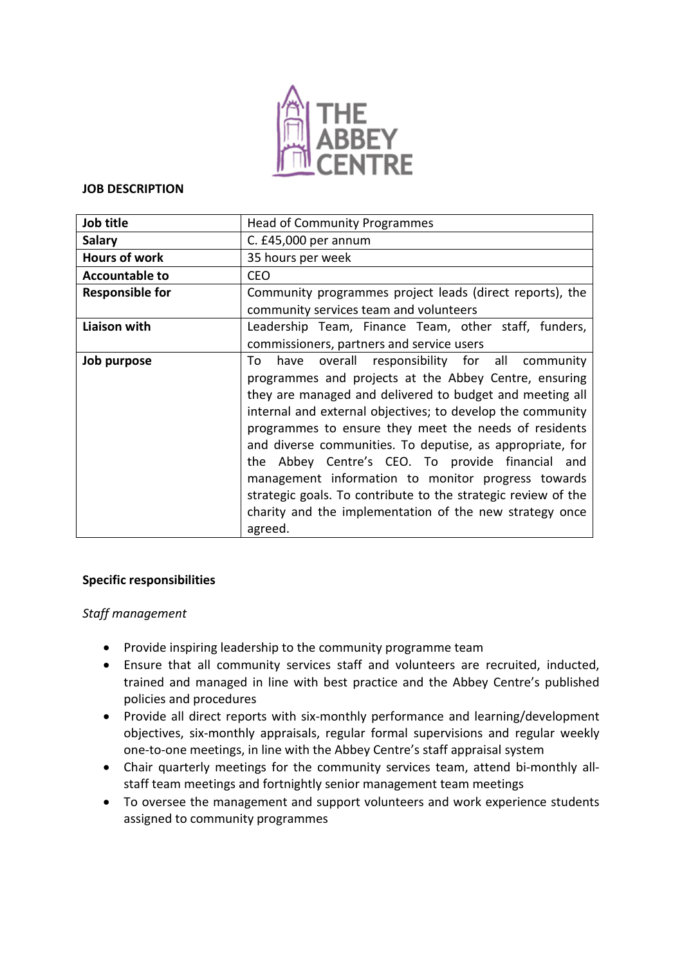

#### **JOB DESCRIPTION**

| Job title              | <b>Head of Community Programmes</b>                                                                                                                                                                                                                                                                                                                                                                                                                                                                                                                                                                           |
|------------------------|---------------------------------------------------------------------------------------------------------------------------------------------------------------------------------------------------------------------------------------------------------------------------------------------------------------------------------------------------------------------------------------------------------------------------------------------------------------------------------------------------------------------------------------------------------------------------------------------------------------|
| <b>Salary</b>          | C. £45,000 per annum                                                                                                                                                                                                                                                                                                                                                                                                                                                                                                                                                                                          |
| <b>Hours of work</b>   | 35 hours per week                                                                                                                                                                                                                                                                                                                                                                                                                                                                                                                                                                                             |
| <b>Accountable to</b>  | <b>CEO</b>                                                                                                                                                                                                                                                                                                                                                                                                                                                                                                                                                                                                    |
| <b>Responsible for</b> | Community programmes project leads (direct reports), the<br>community services team and volunteers                                                                                                                                                                                                                                                                                                                                                                                                                                                                                                            |
| Liaison with           | Leadership Team, Finance Team, other staff, funders,<br>commissioners, partners and service users                                                                                                                                                                                                                                                                                                                                                                                                                                                                                                             |
| Job purpose            | have overall responsibility for all community<br>To<br>programmes and projects at the Abbey Centre, ensuring<br>they are managed and delivered to budget and meeting all<br>internal and external objectives; to develop the community<br>programmes to ensure they meet the needs of residents<br>and diverse communities. To deputise, as appropriate, for<br>the Abbey Centre's CEO. To provide financial and<br>management information to monitor progress towards<br>strategic goals. To contribute to the strategic review of the<br>charity and the implementation of the new strategy once<br>agreed. |

### **Specific responsibilities**

### *Staff management*

- Provide inspiring leadership to the community programme team
- Ensure that all community services staff and volunteers are recruited, inducted, trained and managed in line with best practice and the Abbey Centre's published policies and procedures
- Provide all direct reports with six-monthly performance and learning/development objectives, six-monthly appraisals, regular formal supervisions and regular weekly one-to-one meetings, in line with the Abbey Centre's staff appraisal system
- Chair quarterly meetings for the community services team, attend bi-monthly allstaff team meetings and fortnightly senior management team meetings
- To oversee the management and support volunteers and work experience students assigned to community programmes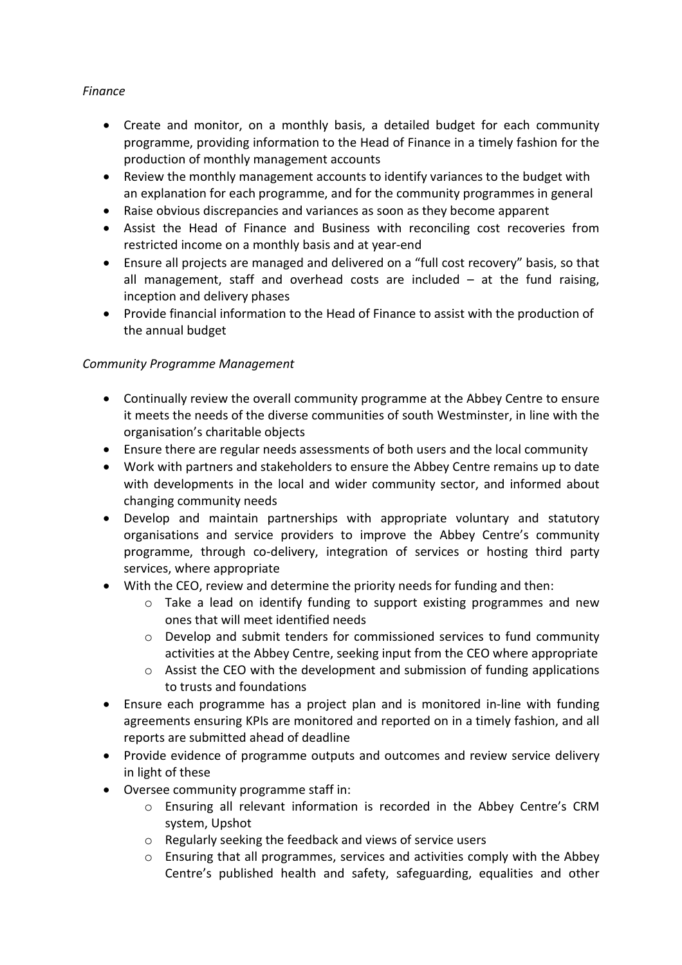# *Finance*

- Create and monitor, on a monthly basis, a detailed budget for each community programme, providing information to the Head of Finance in a timely fashion for the production of monthly management accounts
- Review the monthly management accounts to identify variances to the budget with an explanation for each programme, and for the community programmes in general
- Raise obvious discrepancies and variances as soon as they become apparent
- Assist the Head of Finance and Business with reconciling cost recoveries from restricted income on a monthly basis and at year-end
- Ensure all projects are managed and delivered on a "full cost recovery" basis, so that all management, staff and overhead costs are included  $-$  at the fund raising, inception and delivery phases
- Provide financial information to the Head of Finance to assist with the production of the annual budget

# *Community Programme Management*

- Continually review the overall community programme at the Abbey Centre to ensure it meets the needs of the diverse communities of south Westminster, in line with the organisation's charitable objects
- Ensure there are regular needs assessments of both users and the local community
- Work with partners and stakeholders to ensure the Abbey Centre remains up to date with developments in the local and wider community sector, and informed about changing community needs
- Develop and maintain partnerships with appropriate voluntary and statutory organisations and service providers to improve the Abbey Centre's community programme, through co-delivery, integration of services or hosting third party services, where appropriate
- With the CEO, review and determine the priority needs for funding and then:
	- o Take a lead on identify funding to support existing programmes and new ones that will meet identified needs
	- $\circ$  Develop and submit tenders for commissioned services to fund community activities at the Abbey Centre, seeking input from the CEO where appropriate
	- o Assist the CEO with the development and submission of funding applications to trusts and foundations
- Ensure each programme has a project plan and is monitored in-line with funding agreements ensuring KPIs are monitored and reported on in a timely fashion, and all reports are submitted ahead of deadline
- Provide evidence of programme outputs and outcomes and review service delivery in light of these
- Oversee community programme staff in:
	- o Ensuring all relevant information is recorded in the Abbey Centre's CRM system, Upshot
	- o Regularly seeking the feedback and views of service users
	- $\circ$  Ensuring that all programmes, services and activities comply with the Abbey Centre's published health and safety, safeguarding, equalities and other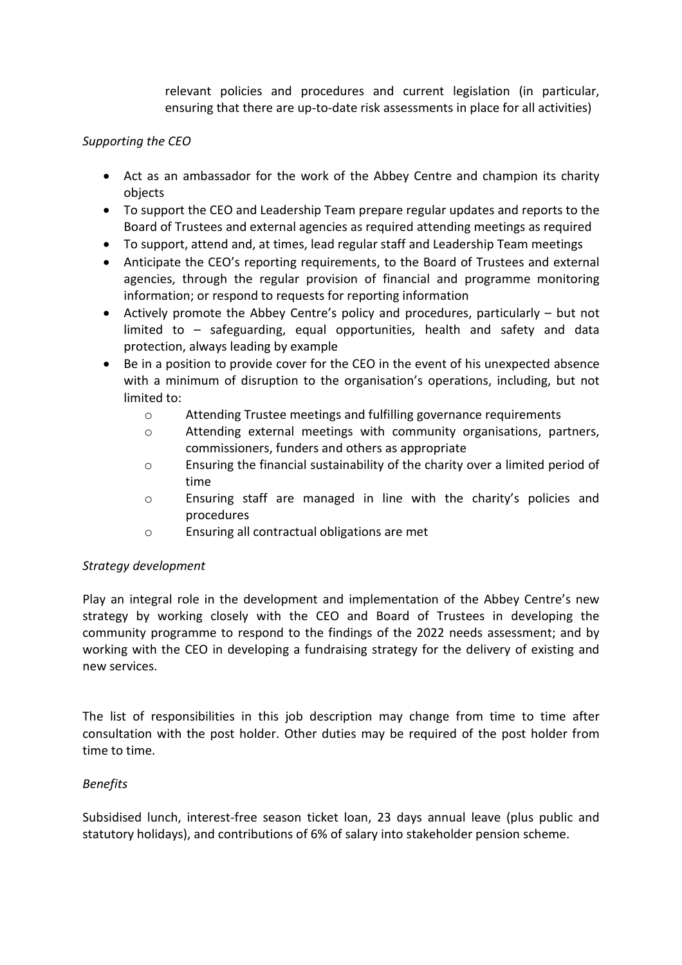relevant policies and procedures and current legislation (in particular, ensuring that there are up-to-date risk assessments in place for all activities)

## *Supporting the CEO*

- Act as an ambassador for the work of the Abbey Centre and champion its charity objects
- To support the CEO and Leadership Team prepare regular updates and reports to the Board of Trustees and external agencies as required attending meetings as required
- To support, attend and, at times, lead regular staff and Leadership Team meetings
- Anticipate the CEO's reporting requirements, to the Board of Trustees and external agencies, through the regular provision of financial and programme monitoring information; or respond to requests for reporting information
- Actively promote the Abbey Centre's policy and procedures, particularly but not limited to – safeguarding, equal opportunities, health and safety and data protection, always leading by example
- Be in a position to provide cover for the CEO in the event of his unexpected absence with a minimum of disruption to the organisation's operations, including, but not limited to:
	- o Attending Trustee meetings and fulfilling governance requirements
	- o Attending external meetings with community organisations, partners, commissioners, funders and others as appropriate
	- o Ensuring the financial sustainability of the charity over a limited period of time
	- o Ensuring staff are managed in line with the charity's policies and procedures
	- o Ensuring all contractual obligations are met

### *Strategy development*

Play an integral role in the development and implementation of the Abbey Centre's new strategy by working closely with the CEO and Board of Trustees in developing the community programme to respond to the findings of the 2022 needs assessment; and by working with the CEO in developing a fundraising strategy for the delivery of existing and new services.

The list of responsibilities in this job description may change from time to time after consultation with the post holder. Other duties may be required of the post holder from time to time.

### *Benefits*

Subsidised lunch, interest-free season ticket loan, 23 days annual leave (plus public and statutory holidays), and contributions of 6% of salary into stakeholder pension scheme.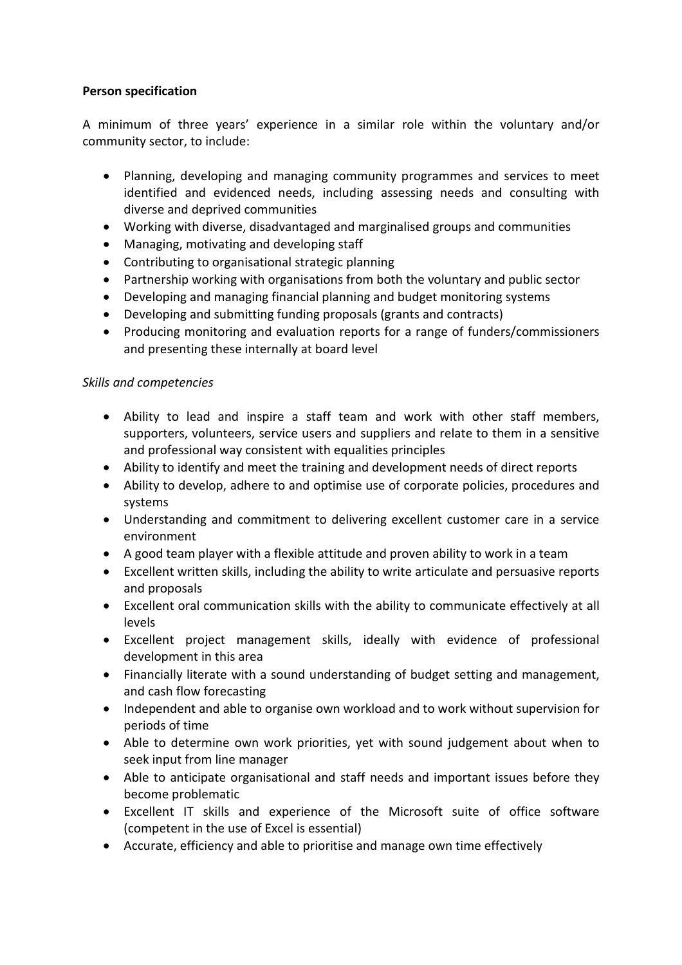## **Person specification**

A minimum of three years' experience in a similar role within the voluntary and/or community sector, to include:

- Planning, developing and managing community programmes and services to meet identified and evidenced needs, including assessing needs and consulting with diverse and deprived communities
- Working with diverse, disadvantaged and marginalised groups and communities
- Managing, motivating and developing staff
- Contributing to organisational strategic planning
- Partnership working with organisations from both the voluntary and public sector
- Developing and managing financial planning and budget monitoring systems
- Developing and submitting funding proposals (grants and contracts)
- Producing monitoring and evaluation reports for a range of funders/commissioners and presenting these internally at board level

### *Skills and competencies*

- Ability to lead and inspire a staff team and work with other staff members, supporters, volunteers, service users and suppliers and relate to them in a sensitive and professional way consistent with equalities principles
- Ability to identify and meet the training and development needs of direct reports
- Ability to develop, adhere to and optimise use of corporate policies, procedures and systems
- Understanding and commitment to delivering excellent customer care in a service environment
- A good team player with a flexible attitude and proven ability to work in a team
- Excellent written skills, including the ability to write articulate and persuasive reports and proposals
- Excellent oral communication skills with the ability to communicate effectively at all levels
- Excellent project management skills, ideally with evidence of professional development in this area
- Financially literate with a sound understanding of budget setting and management, and cash flow forecasting
- Independent and able to organise own workload and to work without supervision for periods of time
- Able to determine own work priorities, yet with sound judgement about when to seek input from line manager
- Able to anticipate organisational and staff needs and important issues before they become problematic
- Excellent IT skills and experience of the Microsoft suite of office software (competent in the use of Excel is essential)
- Accurate, efficiency and able to prioritise and manage own time effectively